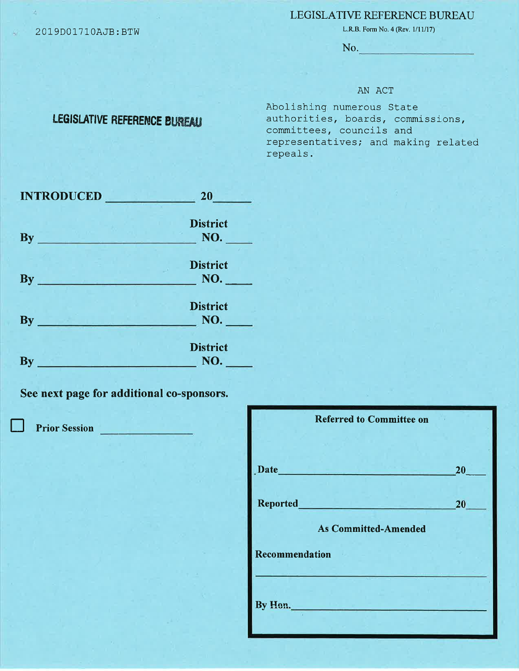## LEGISLATIVE REFERENCE BUREAU

2019D0171OAJB: BTW

L.R.B. Form No. 4 (Rev.  $1/11/17$ )

No.

## AN ACT

Abolishing numerous State authorities, boards, commissions, committees, councils and representatives; and making related repeals.

| <b>INTRODUCED</b>                                   | 20 <sub>2</sub>        |
|-----------------------------------------------------|------------------------|
| By<br><u> 1999 - Jan Bernard I, mart</u>            | <b>District</b><br>NO. |
| <b>By</b><br>the company's product of the company's | <b>District</b><br>NO. |
| <b>By</b>                                           | <b>District</b><br>NO. |
| <b>By</b>                                           | <b>District</b><br>NO. |

LEGISLATIVE REFERENCE BUREAU

See next page for additional co-sponsors.

**Prior Session** 

| 20 <sub>2</sub> |
|-----------------|
| 20              |
|                 |
|                 |
|                 |
|                 |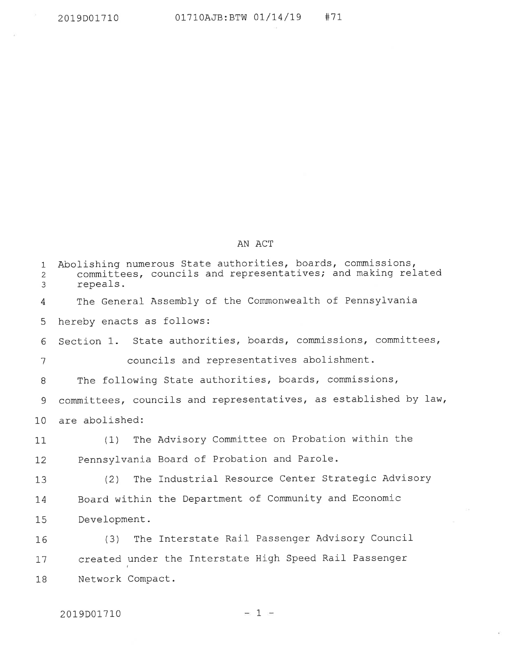$\sim$ 

## AN ACT

| 1<br>$\overline{2}$<br>3 | Abolishing numerous State authorities, boards, commissions,<br>committees, councils and representatives; and making related<br>repeals. |
|--------------------------|-----------------------------------------------------------------------------------------------------------------------------------------|
| 4                        | The General Assembly of the Commonwealth of Pennsylvania                                                                                |
| 5                        | hereby enacts as follows:                                                                                                               |
| 6                        | Section 1. State authorities, boards, commissions, committees,                                                                          |
| 7                        | councils and representatives abolishment.                                                                                               |
| 8                        | The following State authorities, boards, commissions,                                                                                   |
| 9                        | committees, councils and representatives, as established by law,                                                                        |
| 10                       | are abolished:                                                                                                                          |
| 11                       | The Advisory Committee on Probation within the<br>(1)                                                                                   |
| 12                       | Pennsylvania Board of Probation and Parole.                                                                                             |
| 13                       | The Industrial Resource Center Strategic Advisory<br>(2)                                                                                |
| 14                       | Board within the Department of Community and Economic                                                                                   |
| 15                       | Development.                                                                                                                            |
| 16                       | The Interstate Rail Passenger Advisory Council<br>(3)                                                                                   |
| 17                       | created under the Interstate High Speed Rail Passenger                                                                                  |
| 18                       | Network Compact.                                                                                                                        |
|                          |                                                                                                                                         |

 $\sim$  19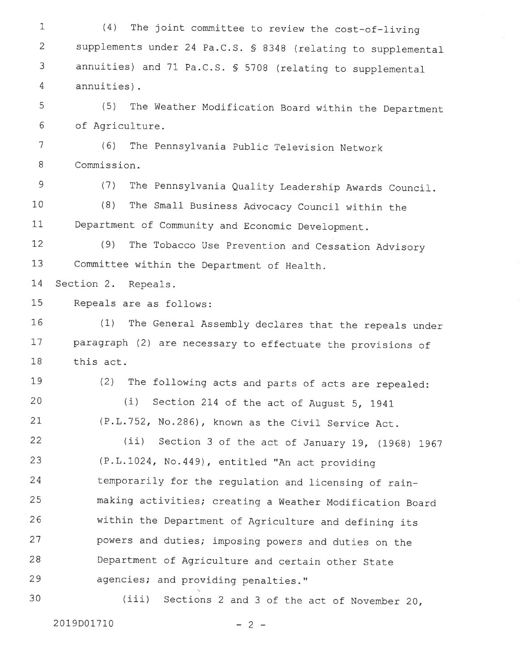1 2 3 4  $5$ 6 7 8 9 10 11 I2 13 1,4 15 L6 I1 18 L9 20 2L 22 23 24 25 26 21 28 29 30 (4) The joint committee to review the cost-of-living supplements under 24 Pa.C.S.  $\$$  8348 (relating to supplemental annuities) and 71 Pa.C.S.  $S$  5708 (relating to supplemental annuities). (5) The Weather Modification Board within the Department of Agriculture. (6) The Pennsylvania public Tel\_evision Network Commission. (7) The Pennsylvania Quality Leadership Awards Council. (8) The Small Business Advocacy Council within the Department of Community and Economic Development. (9) The Tobacco use prevention and cessation Advisory Committee within the Department of Health. Section 2. Repeals. Repeals are as follows: (1) The General- Assembly declares that the repeals under paragraph (2) are necessary to effectuate the provisions of this act. (2) The following acts and parts of acts are repealed:  $(i)$  Section 214 of the act of August 5, 1941 (P.L.752, No.286), known as the Civil Service Act. (ii) Section 3 of the act of January 19,  $(1968)$  1967 (P.L.IA24, No.449), entitled "An act providing temporarily for the regulation and licensing of rainmaking activities; creating a Weather Modification Board within the Department of Agriculture and defining its powers and duties; imposing powers and duties on the Department of Agriculture and certain other State agencies; and providing penalties." (iii) sections 2 and 3 of the act of November 20,

2019D01710 - 2 -